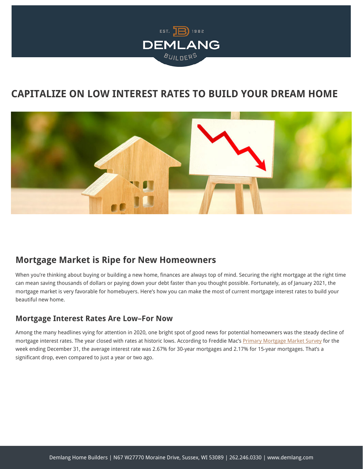

# **CAPITALIZE ON LOW INTEREST RATES TO BUILD YOUR DREAM HOME**



### **Mortgage Market is Ripe for New Homeowners**

When you're thinking about buying or building a new home, finances are always top of mind. Securing the right mortgage at the right time can mean saving thousands of dollars or paying down your debt faster than you thought possible. Fortunately, as of January 2021, the mortgage market is very favorable for homebuyers. Here's how you can make the most of current mortgage interest rates to build your beautiful new home.

#### **Mortgage Interest Rates Are Low–For Now**

Among the many headlines vying for attention in 2020, one bright spot of good news for potential homeowners was the steady decline of mortgage interest rates. The year closed with rates at historic lows. According to Freddie Mac's [Primary Mortgage Market Survey](https://www.freddiemac.com/pmms/) for the week ending December 31, the average interest rate was 2.67% for 30-year mortgages and 2.17% for 15-year mortgages. That's a significant drop, even compared to just a year or two ago.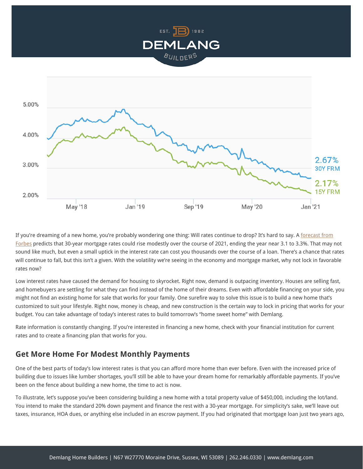



If you're dreaming of a new home, you're probably wondering one thing: Will rates continue to drop? It's hard to say. A [forecast from](https://www.forbes.com/advisor/mortgages/mortgage-interest-rates-forecast/) [Forbes](https://www.forbes.com/advisor/mortgages/mortgage-interest-rates-forecast/) predicts that 30-year mortgage rates could rise modestly over the course of 2021, ending the year near 3.1 to 3.3%. That may not sound like much, but even a small uptick in the interest rate can cost you thousands over the course of a loan. There's a chance that rates will continue to fall, but this isn't a given. With the volatility we're seeing in the economy and mortgage market, why not lock in favorable rates now?

Low interest rates have caused the demand for housing to skyrocket. Right now, demand is outpacing inventory. Houses are selling fast, and homebuyers are settling for what they can find instead of the home of their dreams. Even with affordable financing on your side, you might not find an existing home for sale that works for your family. One surefire way to solve this issue is to build a new home that's customized to suit your lifestyle. Right now, money is cheap, and new construction is the certain way to lock in pricing that works for your budget. You can take advantage of today's interest rates to build tomorrow's "home sweet home" with Demlang.

Rate information is constantly changing. If you're interested in financing a new home, check with your financial institution for current rates and to create a financing plan that works for you.

#### **Get More Home For Modest Monthly Payments**

One of the best parts of today's low interest rates is that you can afford more home than ever before. Even with the increased price of building due to issues like lumber shortages, you'll still be able to have your dream home for remarkably affordable payments. If you've been on the fence about building a new home, the time to act is now.

To illustrate, let's suppose you've been considering building a new home with a total property value of \$450,000, including the lot/land. You intend to make the standard 20% down payment and finance the rest with a 30-year mortgage. For simplicity's sake, we'll leave out taxes, insurance, HOA dues, or anything else included in an escrow payment. If you had originated that mortgage loan just two years ago,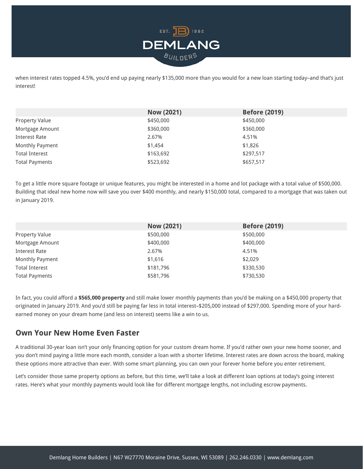

when interest rates topped 4.5%, you'd end up paying nearly \$135,000 more than you would for a new loan starting today-and that's just interest!

|                       | <b>Now (2021)</b> | <b>Before (2019)</b> |
|-----------------------|-------------------|----------------------|
| <b>Property Value</b> | \$450,000         | \$450,000            |
| Mortgage Amount       | \$360,000         | \$360,000            |
| Interest Rate         | 2.67%             | 4.51%                |
| Monthly Payment       | \$1,454           | \$1,826              |
| <b>Total Interest</b> | \$163,692         | \$297,517            |
| <b>Total Payments</b> | \$523,692         | \$657,517            |
|                       |                   |                      |

To get a little more square footage or unique features, you might be interested in a home and lot package with a total value of \$500,000. Building that ideal new home now will save you over \$400 monthly, and nearly \$150,000 total, compared to a mortgage that was taken out in January 2019.

|                       | <b>Now (2021)</b> | <b>Before (2019)</b> |
|-----------------------|-------------------|----------------------|
| <b>Property Value</b> | \$500,000         | \$500,000            |
| Mortgage Amount       | \$400,000         | \$400,000            |
| Interest Rate         | 2.67%             | 4.51%                |
| Monthly Payment       | \$1,616           | \$2,029              |
| <b>Total Interest</b> | \$181,796         | \$330,530            |
| <b>Total Payments</b> | \$581,796         | \$730,530            |

In fact, you could afford a **\$565,000 property** and still make lower monthly payments than you'd be making on a \$450,000 property that originated in January 2019. And you'd still be paying far less in total interest–\$205,000 instead of \$297,000. Spending more of your hardearned money on your dream home (and less on interest) seems like a win to us.

#### **Own Your New Home Even Faster**

A traditional 30-year loan isn't your only financing option for your custom dream home. If you'd rather own your new home sooner, and you don't mind paying a little more each month, consider a loan with a shorter lifetime. Interest rates are down across the board, making these options more attractive than ever. With some smart planning, you can own your forever home before you enter retirement.

Let's consider those same property options as before, but this time, we'll take a look at different loan options at today's going interest rates. Here's what your monthly payments would look like for different mortgage lengths, not including escrow payments.